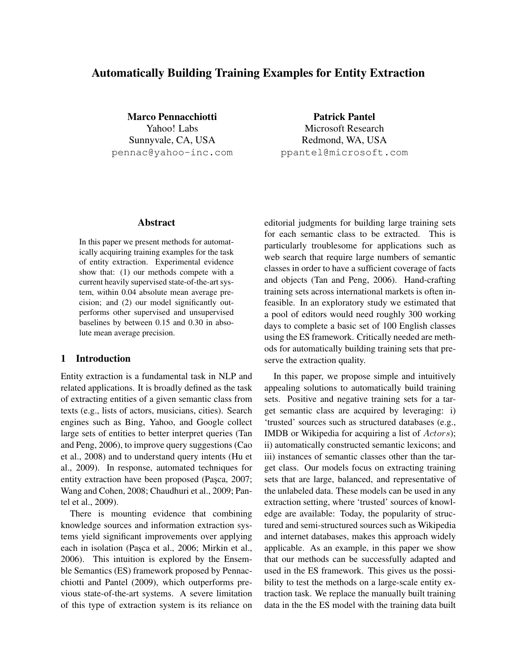# Automatically Building Training Examples for Entity Extraction

Marco Pennacchiotti Yahoo! Labs Sunnyvale, CA, USA pennac@yahoo-inc.com

Patrick Pantel Microsoft Research Redmond, WA, USA ppantel@microsoft.com

## Abstract

In this paper we present methods for automatically acquiring training examples for the task of entity extraction. Experimental evidence show that: (1) our methods compete with a current heavily supervised state-of-the-art system, within 0.04 absolute mean average precision; and (2) our model significantly outperforms other supervised and unsupervised baselines by between 0.15 and 0.30 in absolute mean average precision.

## 1 Introduction

Entity extraction is a fundamental task in NLP and related applications. It is broadly defined as the task of extracting entities of a given semantic class from texts (e.g., lists of actors, musicians, cities). Search engines such as Bing, Yahoo, and Google collect large sets of entities to better interpret queries (Tan and Peng, 2006), to improve query suggestions (Cao et al., 2008) and to understand query intents (Hu et al., 2009). In response, automated techniques for entity extraction have been proposed (Pasca, 2007; Wang and Cohen, 2008; Chaudhuri et al., 2009; Pantel et al., 2009).

There is mounting evidence that combining knowledge sources and information extraction systems yield significant improvements over applying each in isolation (Paşca et al., 2006; Mirkin et al., 2006). This intuition is explored by the Ensemble Semantics (ES) framework proposed by Pennacchiotti and Pantel (2009), which outperforms previous state-of-the-art systems. A severe limitation of this type of extraction system is its reliance on editorial judgments for building large training sets for each semantic class to be extracted. This is particularly troublesome for applications such as web search that require large numbers of semantic classes in order to have a sufficient coverage of facts and objects (Tan and Peng, 2006). Hand-crafting training sets across international markets is often infeasible. In an exploratory study we estimated that a pool of editors would need roughly 300 working days to complete a basic set of 100 English classes using the ES framework. Critically needed are methods for automatically building training sets that preserve the extraction quality.

In this paper, we propose simple and intuitively appealing solutions to automatically build training sets. Positive and negative training sets for a target semantic class are acquired by leveraging: i) 'trusted' sources such as structured databases (e.g., IMDB or Wikipedia for acquiring a list of Actors); ii) automatically constructed semantic lexicons; and iii) instances of semantic classes other than the target class. Our models focus on extracting training sets that are large, balanced, and representative of the unlabeled data. These models can be used in any extraction setting, where 'trusted' sources of knowledge are available: Today, the popularity of structured and semi-structured sources such as Wikipedia and internet databases, makes this approach widely applicable. As an example, in this paper we show that our methods can be successfully adapted and used in the ES framework. This gives us the possibility to test the methods on a large-scale entity extraction task. We replace the manually built training data in the the ES model with the training data built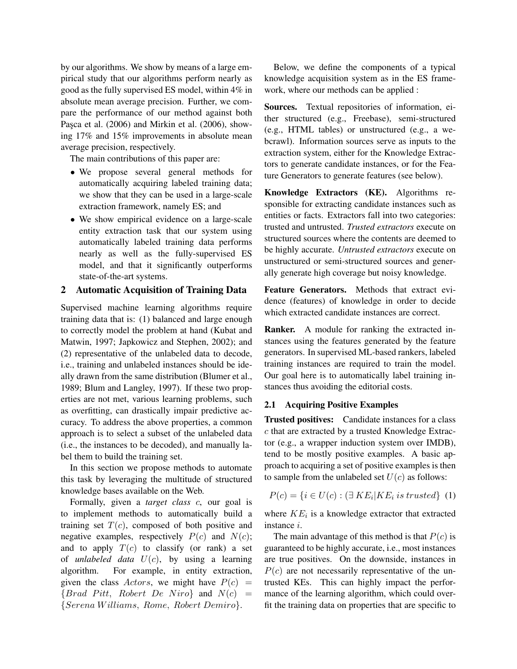by our algorithms. We show by means of a large empirical study that our algorithms perform nearly as good as the fully supervised ES model, within 4% in absolute mean average precision. Further, we compare the performance of our method against both Pasca et al. (2006) and Mirkin et al. (2006), showing 17% and 15% improvements in absolute mean average precision, respectively.

The main contributions of this paper are:

- We propose several general methods for automatically acquiring labeled training data; we show that they can be used in a large-scale extraction framework, namely ES; and
- We show empirical evidence on a large-scale entity extraction task that our system using automatically labeled training data performs nearly as well as the fully-supervised ES model, and that it significantly outperforms state-of-the-art systems.

#### 2 Automatic Acquisition of Training Data

Supervised machine learning algorithms require training data that is: (1) balanced and large enough to correctly model the problem at hand (Kubat and Matwin, 1997; Japkowicz and Stephen, 2002); and (2) representative of the unlabeled data to decode, i.e., training and unlabeled instances should be ideally drawn from the same distribution (Blumer et al., 1989; Blum and Langley, 1997). If these two properties are not met, various learning problems, such as overfitting, can drastically impair predictive accuracy. To address the above properties, a common approach is to select a subset of the unlabeled data (i.e., the instances to be decoded), and manually label them to build the training set.

In this section we propose methods to automate this task by leveraging the multitude of structured knowledge bases available on the Web.

Formally, given a *target class* c, our goal is to implement methods to automatically build a training set  $T(c)$ , composed of both positive and negative examples, respectively  $P(c)$  and  $N(c)$ ; and to apply  $T(c)$  to classify (or rank) a set of *unlabeled data*  $U(c)$ , by using a learning algorithm. For example, in entity extraction, given the class Actors, we might have  $P(c)$  =  ${Brad Pitt, Robert De Niro}$  and  $N(c)$  = {Serena W illiams, Rome, Robert Demiro}.

Below, we define the components of a typical knowledge acquisition system as in the ES framework, where our methods can be applied :

Sources. Textual repositories of information, either structured (e.g., Freebase), semi-structured (e.g., HTML tables) or unstructured (e.g., a webcrawl). Information sources serve as inputs to the extraction system, either for the Knowledge Extractors to generate candidate instances, or for the Feature Generators to generate features (see below).

Knowledge Extractors (KE). Algorithms responsible for extracting candidate instances such as entities or facts. Extractors fall into two categories: trusted and untrusted. *Trusted extractors* execute on structured sources where the contents are deemed to be highly accurate. *Untrusted extractors* execute on unstructured or semi-structured sources and generally generate high coverage but noisy knowledge.

Feature Generators. Methods that extract evidence (features) of knowledge in order to decide which extracted candidate instances are correct.

Ranker. A module for ranking the extracted instances using the features generated by the feature generators. In supervised ML-based rankers, labeled training instances are required to train the model. Our goal here is to automatically label training instances thus avoiding the editorial costs.

#### 2.1 Acquiring Positive Examples

Trusted positives: Candidate instances for a class c that are extracted by a trusted Knowledge Extractor (e.g., a wrapper induction system over IMDB), tend to be mostly positive examples. A basic approach to acquiring a set of positive examples is then to sample from the unlabeled set  $U(c)$  as follows:

$$
P(c) = \{i \in U(c) : (\exists \, KE_i | KE_i \, is \, trusted\} \, (1)
$$

where  $KE_i$  is a knowledge extractor that extracted instance i.

The main advantage of this method is that  $P(c)$  is guaranteed to be highly accurate, i.e., most instances are true positives. On the downside, instances in  $P(c)$  are not necessarily representative of the untrusted KEs. This can highly impact the performance of the learning algorithm, which could overfit the training data on properties that are specific to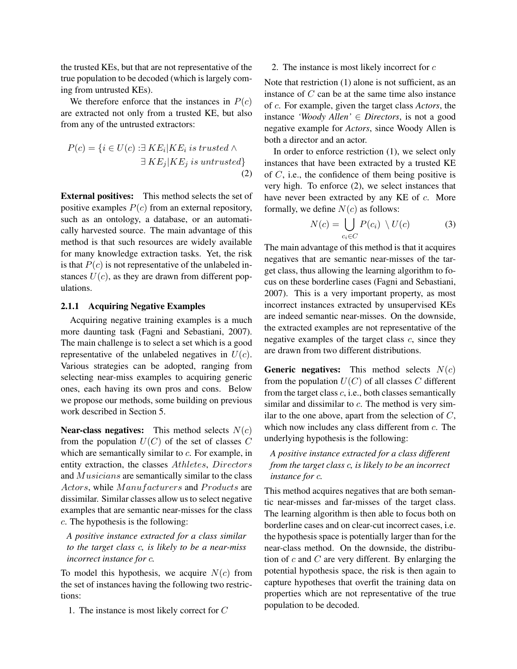the trusted KEs, but that are not representative of the true population to be decoded (which is largely coming from untrusted KEs).

We therefore enforce that the instances in  $P(c)$ are extracted not only from a trusted KE, but also from any of the untrusted extractors:

$$
P(c) = \{i \in U(c) : \exists KE_i | KE_i \text{ is trusted } \land \exists KE_j | KE_j \text{ is untrusted}\}\
$$
\n(2)

External positives: This method selects the set of positive examples  $P(c)$  from an external repository, such as an ontology, a database, or an automatically harvested source. The main advantage of this method is that such resources are widely available for many knowledge extraction tasks. Yet, the risk is that  $P(c)$  is not representative of the unlabeled instances  $U(c)$ , as they are drawn from different populations.

## 2.1.1 Acquiring Negative Examples

Acquiring negative training examples is a much more daunting task (Fagni and Sebastiani, 2007). The main challenge is to select a set which is a good representative of the unlabeled negatives in  $U(c)$ . Various strategies can be adopted, ranging from selecting near-miss examples to acquiring generic ones, each having its own pros and cons. Below we propose our methods, some building on previous work described in Section 5.

**Near-class negatives:** This method selects  $N(c)$ from the population  $U(C)$  of the set of classes C which are semantically similar to c. For example, in entity extraction, the classes Athletes, Directors and Musicians are semantically similar to the class Actors, while Manufacturers and Products are dissimilar. Similar classes allow us to select negative examples that are semantic near-misses for the class c. The hypothesis is the following:

*A positive instance extracted for a class similar to the target class* c*, is likely to be a near-miss incorrect instance for* c*.*

To model this hypothesis, we acquire  $N(c)$  from the set of instances having the following two restrictions:

1. The instance is most likely correct for C

## 2. The instance is most likely incorrect for  $c$

Note that restriction (1) alone is not sufficient, as an instance of C can be at the same time also instance of c. For example, given the target class *Actors*, the instance *'Woody Allen'* ∈ *Directors*, is not a good negative example for *Actors*, since Woody Allen is both a director and an actor.

In order to enforce restriction (1), we select only instances that have been extracted by a trusted KE of  $C$ , i.e., the confidence of them being positive is very high. To enforce (2), we select instances that have never been extracted by any KE of c. More formally, we define  $N(c)$  as follows:

$$
N(c) = \bigcup_{c_i \in C} P(c_i) \setminus U(c) \tag{3}
$$

The main advantage of this method is that it acquires negatives that are semantic near-misses of the target class, thus allowing the learning algorithm to focus on these borderline cases (Fagni and Sebastiani, 2007). This is a very important property, as most incorrect instances extracted by unsupervised KEs are indeed semantic near-misses. On the downside, the extracted examples are not representative of the negative examples of the target class  $c$ , since they are drawn from two different distributions.

**Generic negatives:** This method selects  $N(c)$ from the population  $U(C)$  of all classes C different from the target class  $c$ , i.e., both classes semantically similar and dissimilar to c. The method is very similar to the one above, apart from the selection of  $C$ , which now includes any class different from c. The underlying hypothesis is the following:

## *A positive instance extracted for a class different from the target class* c*, is likely to be an incorrect instance for* c*.*

This method acquires negatives that are both semantic near-misses and far-misses of the target class. The learning algorithm is then able to focus both on borderline cases and on clear-cut incorrect cases, i.e. the hypothesis space is potentially larger than for the near-class method. On the downside, the distribution of  $c$  and  $C$  are very different. By enlarging the potential hypothesis space, the risk is then again to capture hypotheses that overfit the training data on properties which are not representative of the true population to be decoded.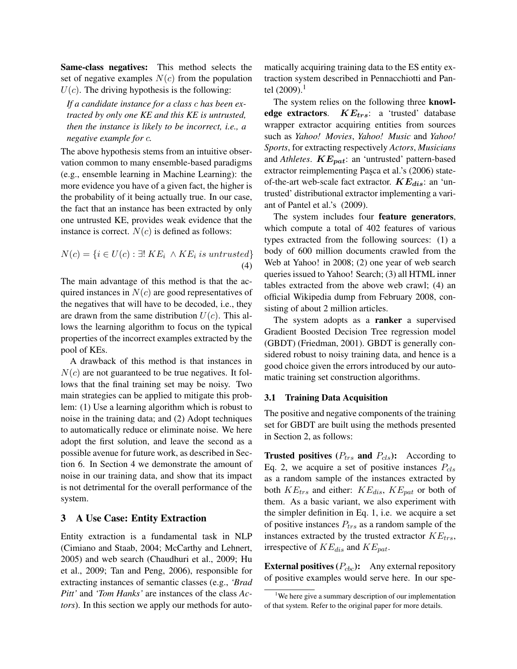Same-class negatives: This method selects the set of negative examples  $N(c)$  from the population  $U(c)$ . The driving hypothesis is the following:

*If a candidate instance for a class* c *has been extracted by only one KE and this KE is untrusted, then the instance is likely to be incorrect, i.e., a negative example for* c*.*

The above hypothesis stems from an intuitive observation common to many ensemble-based paradigms (e.g., ensemble learning in Machine Learning): the more evidence you have of a given fact, the higher is the probability of it being actually true. In our case, the fact that an instance has been extracted by only one untrusted KE, provides weak evidence that the instance is correct.  $N(c)$  is defined as follows:

$$
N(c) = \{ i \in U(c) : \exists! \; KE_i \; \wedge KE_i \; is \; untrusted \}
$$
\n
$$
\tag{4}
$$

The main advantage of this method is that the acquired instances in  $N(c)$  are good representatives of the negatives that will have to be decoded, i.e., they are drawn from the same distribution  $U(c)$ . This allows the learning algorithm to focus on the typical properties of the incorrect examples extracted by the pool of KEs.

A drawback of this method is that instances in  $N(c)$  are not guaranteed to be true negatives. It follows that the final training set may be noisy. Two main strategies can be applied to mitigate this problem: (1) Use a learning algorithm which is robust to noise in the training data; and (2) Adopt techniques to automatically reduce or eliminate noise. We here adopt the first solution, and leave the second as a possible avenue for future work, as described in Section 6. In Section 4 we demonstrate the amount of noise in our training data, and show that its impact is not detrimental for the overall performance of the system.

## 3 A Use Case: Entity Extraction

Entity extraction is a fundamental task in NLP (Cimiano and Staab, 2004; McCarthy and Lehnert, 2005) and web search (Chaudhuri et al., 2009; Hu et al., 2009; Tan and Peng, 2006), responsible for extracting instances of semantic classes (e.g., *'Brad Pitt'* and *'Tom Hanks'* are instances of the class *Actors*). In this section we apply our methods for automatically acquiring training data to the ES entity extraction system described in Pennacchiotti and Pantel  $(2009).$ <sup>1</sup>

The system relies on the following three **knowl**edge extractors.  $KE_{trs}$ : a 'trusted' database wrapper extractor acquiring entities from sources such as *Yahoo! Movies*, *Yahoo! Music* and *Yahoo! Sports*, for extracting respectively *Actors*, *Musicians* and *Athletes*.  $KE_{pat}$ : an 'untrusted' pattern-based extractor reimplementing Paşca et al.'s (2006) stateof-the-art web-scale fact extractor.  $KE_{dis}$ : an 'untrusted' distributional extractor implementing a variant of Pantel et al.'s (2009).

The system includes four feature generators, which compute a total of 402 features of various types extracted from the following sources: (1) a body of 600 million documents crawled from the Web at Yahoo! in 2008; (2) one year of web search queries issued to Yahoo! Search; (3) all HTML inner tables extracted from the above web crawl; (4) an official Wikipedia dump from February 2008, consisting of about 2 million articles.

The system adopts as a ranker a supervised Gradient Boosted Decision Tree regression model (GBDT) (Friedman, 2001). GBDT is generally considered robust to noisy training data, and hence is a good choice given the errors introduced by our automatic training set construction algorithms.

#### 3.1 Training Data Acquisition

The positive and negative components of the training set for GBDT are built using the methods presented in Section 2, as follows:

**Trusted positives** ( $P_{trs}$  and  $P_{cls}$ ): According to Eq. 2, we acquire a set of positive instances  $P_{cls}$ as a random sample of the instances extracted by both  $KE_{trs}$  and either:  $KE_{dis}$ ,  $KE_{pat}$  or both of them. As a basic variant, we also experiment with the simpler definition in Eq. 1, i.e. we acquire a set of positive instances  $P_{trs}$  as a random sample of the instances extracted by the trusted extractor  $KE$ <sub>trs</sub>, irrespective of  $KE_{dis}$  and  $KE_{pat}$ .

**External positives**  $(P_{cbc})$ : Any external repository of positive examples would serve here. In our spe-

<sup>&</sup>lt;sup>1</sup>We here give a summary description of our implementation of that system. Refer to the original paper for more details.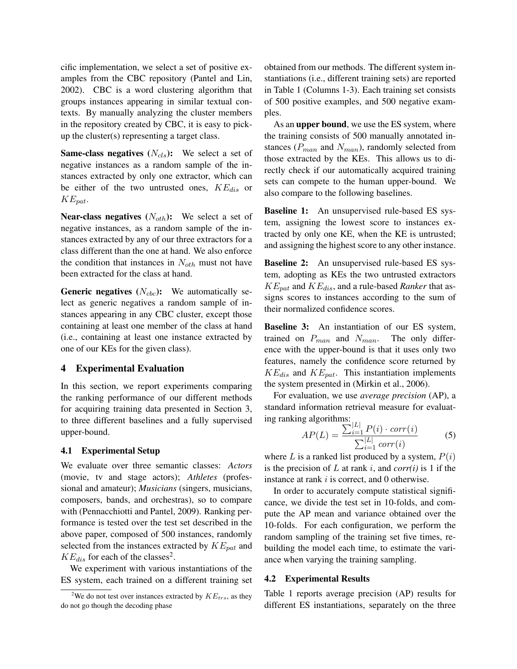cific implementation, we select a set of positive examples from the CBC repository (Pantel and Lin, 2002). CBC is a word clustering algorithm that groups instances appearing in similar textual contexts. By manually analyzing the cluster members in the repository created by CBC, it is easy to pickup the cluster(s) representing a target class.

**Same-class negatives**  $(N_{cls})$ : We select a set of negative instances as a random sample of the instances extracted by only one extractor, which can be either of the two untrusted ones,  $KE_{dis}$  or  $KE_{pat}.$ 

**Near-class negatives**  $(N_{\text{other}})$ : We select a set of negative instances, as a random sample of the instances extracted by any of our three extractors for a class different than the one at hand. We also enforce the condition that instances in  $N_{\text{other}}$  must not have been extracted for the class at hand.

**Generic negatives**  $(N_{cbc})$ : We automatically select as generic negatives a random sample of instances appearing in any CBC cluster, except those containing at least one member of the class at hand (i.e., containing at least one instance extracted by one of our KEs for the given class).

#### 4 Experimental Evaluation

In this section, we report experiments comparing the ranking performance of our different methods for acquiring training data presented in Section 3, to three different baselines and a fully supervised upper-bound.

## 4.1 Experimental Setup

We evaluate over three semantic classes: *Actors* (movie, tv and stage actors); *Athletes* (professional and amateur); *Musicians* (singers, musicians, composers, bands, and orchestras), so to compare with (Pennacchiotti and Pantel, 2009). Ranking performance is tested over the test set described in the above paper, composed of 500 instances, randomly selected from the instances extracted by  $KE_{pat}$  and  $KE_{dis}$  for each of the classes<sup>2</sup>.

We experiment with various instantiations of the ES system, each trained on a different training set obtained from our methods. The different system instantiations (i.e., different training sets) are reported in Table 1 (Columns 1-3). Each training set consists of 500 positive examples, and 500 negative examples.

As an **upper bound**, we use the ES system, where the training consists of 500 manually annotated instances ( $P_{man}$  and  $N_{man}$ ), randomly selected from those extracted by the KEs. This allows us to directly check if our automatically acquired training sets can compete to the human upper-bound. We also compare to the following baselines.

**Baseline 1:** An unsupervised rule-based ES system, assigning the lowest score to instances extracted by only one KE, when the KE is untrusted; and assigning the highest score to any other instance.

**Baseline 2:** An unsupervised rule-based ES system, adopting as KEs the two untrusted extractors  $KE_{pat}$  and  $KE_{dis}$ , and a rule-based *Ranker* that assigns scores to instances according to the sum of their normalized confidence scores.

**Baseline 3:** An instantiation of our ES system, trained on  $P_{man}$  and  $N_{man}$ . The only difference with the upper-bound is that it uses only two features, namely the confidence score returned by  $KE_{dis}$  and  $KE_{pat}$ . This instantiation implements the system presented in (Mirkin et al., 2006).

For evaluation, we use *average precision* (AP), a standard information retrieval measure for evaluating ranking algorithms:

$$
AP(L) = \frac{\sum_{i=1}^{|L|} P(i) \cdot corr(i)}{\sum_{i=1}^{|L|} corr(i)}
$$
(5)

where L is a ranked list produced by a system,  $P(i)$ is the precision of  $L$  at rank  $i$ , and *corr(i)* is 1 if the instance at rank *i* is correct, and 0 otherwise.

In order to accurately compute statistical significance, we divide the test set in 10-folds, and compute the AP mean and variance obtained over the 10-folds. For each configuration, we perform the random sampling of the training set five times, rebuilding the model each time, to estimate the variance when varying the training sampling.

#### 4.2 Experimental Results

Table 1 reports average precision (AP) results for different ES instantiations, separately on the three

<sup>&</sup>lt;sup>2</sup>We do not test over instances extracted by  $KE_{trs}$ , as they do not go though the decoding phase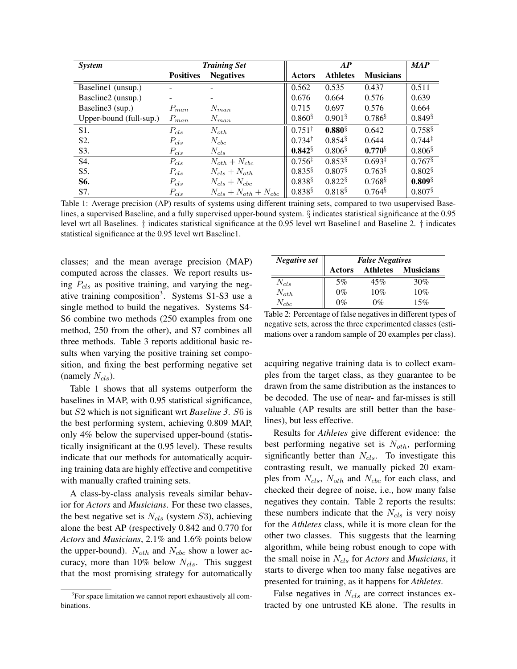| <b>System</b>           | <b>Training Set</b> |                               | AP                   |                       |                      | <b>MAP</b>            |
|-------------------------|---------------------|-------------------------------|----------------------|-----------------------|----------------------|-----------------------|
|                         | <b>Positives</b>    | <b>Negatives</b>              | <b>Actors</b>        | <b>Athletes</b>       | <b>Musicians</b>     |                       |
| Baseline1 (unsup.)      |                     |                               | 0.562                | 0.535                 | 0.437                | 0.511                 |
| Baseline2 (unsup.)      |                     |                               | 0.676                | 0.664                 | 0.576                | 0.639                 |
| Baseline3 (sup.)        | $P_{man}$           | $N_{man}$                     | 0.715                | 0.697                 | 0.576                | 0.664                 |
| Upper-bound (full-sup.) | $P_{man}$           | $N_{man}$                     | $0.860\%$            | $0.901\$              | $0.786$ <sup>§</sup> | $0.849\%$             |
| S1.                     | $P_{cls}$           | $N_{oth}$                     | $0.751^{\dagger}$    | $0.880^{\frac{5}{3}}$ | 0.642                | $0.758^{\frac{5}{3}}$ |
| S <sub>2</sub> .        | $P_{cls}$           | $N_{cbc}$                     | $0.734^{\dagger}$    | $0.854$ <sup>§</sup>  | 0.644                | $0.744^{\ddagger}$    |
| S3.                     | $P_{cls}$           | $N_{cls}$                     | $0.842^{\S}$         | $0.806$ <sup>§</sup>  | $0.770^{\S}$         | $0.806$ <sup>§</sup>  |
| S4.                     | $P_{cls}$           | $N_{\rm oth}+N_{\rm cbc}$     | $0.756^{\ddagger}$   | $0.853$ <sup>§</sup>  | $0.693^{\ddagger}$   | $0.767$ <sup>§</sup>  |
| S5.                     | $P_{cls}$           | $N_{cls}+N_{oth}$             | $0.835$ <sup>§</sup> | $0.807$ <sup>§</sup>  | $0.763$ <sup>§</sup> | $0.802$ <sup>§</sup>  |
| S6.                     | $P_{cls}$           | $N_{cls}+N_{cbc}$             | $0.838^{\S}$         | $0.822$ <sup>§</sup>  | $0.768^{\S}$         | $0.809\%$             |
| S7.                     | $P_{cls}$           | $N_{cls} + N_{oth} + N_{cbc}$ | $0.838^{\S}$         | $0.818^{5}$           | $0.764$ <sup>§</sup> | $0.807$ <sup>§</sup>  |

Table 1: Average precision (AP) results of systems using different training sets, compared to two usupervised Baselines, a supervised Baseline, and a fully supervised upper-bound system. § indicates statistical significance at the 0.95 level wrt all Baselines. ‡ indicates statistical significance at the 0.95 level wrt Baseline1 and Baseline 2. † indicates statistical significance at the 0.95 level wrt Baseline1.

classes; and the mean average precision (MAP) computed across the classes. We report results using  $P_{cls}$  as positive training, and varying the negative training composition<sup>3</sup>. Systems S1-S3 use a single method to build the negatives. Systems S4- S6 combine two methods (250 examples from one method, 250 from the other), and S7 combines all three methods. Table 3 reports additional basic results when varying the positive training set composition, and fixing the best performing negative set (namely  $N_{cls}$ ).

Table 1 shows that all systems outperform the baselines in MAP, with 0.95 statistical significance, but S2 which is not significant wrt *Baseline 3*. S6 is the best performing system, achieving 0.809 MAP, only 4% below the supervised upper-bound (statistically insignificant at the 0.95 level). These results indicate that our methods for automatically acquiring training data are highly effective and competitive with manually crafted training sets.

A class-by-class analysis reveals similar behavior for *Actors* and *Musicians*. For these two classes, the best negative set is  $N_{cls}$  (system S3), achieving alone the best AP (respectively 0.842 and 0.770 for *Actors* and *Musicians*, 2.1% and 1.6% points below the upper-bound).  $N_{\text{oth}}$  and  $N_{\text{cbc}}$  show a lower accuracy, more than 10% below  $N_{cls}$ . This suggest that the most promising strategy for automatically

| Negative set  | <b>False Negatives</b> |                 |                  |  |  |  |
|---------------|------------------------|-----------------|------------------|--|--|--|
|               | <b>Actors</b>          | <b>Athletes</b> | <b>Musicians</b> |  |  |  |
| $N_{cls}$     | 5%                     | 45%             | 30%              |  |  |  |
| $N_{\rm oth}$ | $0\%$                  | 10%             | 10%              |  |  |  |
| $N_{chc}$     | $0\%$                  | $0\%$           | 15%              |  |  |  |

Table 2: Percentage of false negatives in different types of negative sets, across the three experimented classes (estimations over a random sample of 20 examples per class).

acquiring negative training data is to collect examples from the target class, as they guarantee to be drawn from the same distribution as the instances to be decoded. The use of near- and far-misses is still valuable (AP results are still better than the baselines), but less effective.

Results for *Athletes* give different evidence: the best performing negative set is  $N_{\text{oth}}$ , performing significantly better than  $N_{cls}$ . To investigate this contrasting result, we manually picked 20 examples from  $N_{cls}$ ,  $N_{oth}$  and  $N_{cbc}$  for each class, and checked their degree of noise, i.e., how many false negatives they contain. Table 2 reports the results: these numbers indicate that the  $N_{cls}$  is very noisy for the *Athletes* class, while it is more clean for the other two classes. This suggests that the learning algorithm, while being robust enough to cope with the small noise in Ncls for *Actors* and *Musicians*, it starts to diverge when too many false negatives are presented for training, as it happens for *Athletes*.

False negatives in  $N_{cls}$  are correct instances extracted by one untrusted KE alone. The results in

<sup>&</sup>lt;sup>3</sup>For space limitation we cannot report exhaustively all combinations.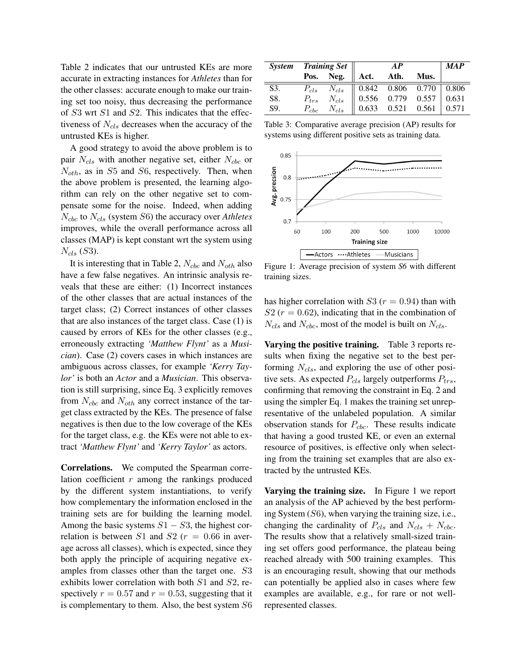Table 2 indicates that our untrusted KEs are more accurate in extracting instances for *Athletes* than for the other classes: accurate enough to make our training set too noisy, thus decreasing the performance of S3 wrt S1 and S2. This indicates that the effectiveness of  $N_{cls}$  decreases when the accuracy of the untrusted KEs is higher.

A good strategy to avoid the above problem is to pair  $N_{cls}$  with another negative set, either  $N_{cbc}$  or  $N_{\text{oth}}$ , as in S5 and S6, respectively. Then, when the above problem is presented, the learning algorithm can rely on the other negative set to compensate some for the noise. Indeed, when adding  $N_{cbc}$  to  $N_{cls}$  (system S6) the accuracy over *Athletes* improves, while the overall performance across all classes (MAP) is kept constant wrt the system using  $N_{cls}$  (S3).

It is interesting that in Table 2,  $N_{cbc}$  and  $N_{\text{oth}}$  also have a few false negatives. An intrinsic analysis reveals that these are either: (1) Incorrect instances of the other classes that are actual instances of the target class; (2) Correct instances of other classes that are also instances of the target class. Case (1) is caused by errors of KEs for the other classes (e.g., erroneously extracting *'Matthew Flynt'* as a *Musician*). Case (2) covers cases in which instances are ambiguous across classes, for example *'Kerry Taylor'* is both an *Actor* and a *Musician*. This observation is still surprising, since Eq. 3 explicitly removes from  $N_{cbc}$  and  $N_{\text{other}}$  any correct instance of the target class extracted by the KEs. The presence of false negatives is then due to the low coverage of the KEs for the target class, e.g. the KEs were not able to extract *'Matthew Flynt'* and *'Kerry Taylor'* as actors.

Correlations. We computed the Spearman correlation coefficient  $r$  among the rankings produced by the different system instantiations, to verify how complementary the information enclosed in the training sets are for building the learning model. Among the basic systems  $S1 - S3$ , the highest correlation is between S1 and S2 ( $r = 0.66$  in average across all classes), which is expected, since they both apply the principle of acquiring negative examples from classes other than the target one. S3 exhibits lower correlation with both S1 and S2, respectively  $r = 0.57$  and  $r = 0.53$ , suggesting that it is complementary to them. Also, the best system S6

|     |  |  | System Training Set<br>Pos. Neg. Act. Ath. Mus.                                                                                                                                                                                                                     |  |  | <b>MAP</b> |
|-----|--|--|---------------------------------------------------------------------------------------------------------------------------------------------------------------------------------------------------------------------------------------------------------------------|--|--|------------|
|     |  |  |                                                                                                                                                                                                                                                                     |  |  |            |
| S3. |  |  |                                                                                                                                                                                                                                                                     |  |  |            |
| S8. |  |  |                                                                                                                                                                                                                                                                     |  |  |            |
| S9. |  |  | $\begin{tabular}{ c c c c c c c c } \hline $P_{cls}$ & $N_{cls}$ & $0.842$ & $0.806$ & $0.770$ & $0.806$ \\ $P_{trs}$ & $N_{cls}$ & $0.556$ & $0.779$ & $0.557$ & $0.631$ \\ $P_{cbc}$ & $N_{cls}$ & $0.633$ & $0.521$ & $0.561$ & $0.571$ \\ \hline \end{tabular}$ |  |  |            |

Table 3: Comparative average precision (AP) results for systems using different positive sets as training data.



Figure 1: Average precision of system *S6* with different training sizes.

has higher correlation with  $S3 (r = 0.94)$  than with  $S2 (r = 0.62)$ , indicating that in the combination of  $N_{cls}$  and  $N_{cbc}$ , most of the model is built on  $N_{cls}$ .

Varying the positive training. Table 3 reports results when fixing the negative set to the best performing  $N_{cls}$ , and exploring the use of other positive sets. As expected  $P_{cls}$  largely outperforms  $P_{trs}$ , confirming that removing the constraint in Eq. 2 and using the simpler Eq. 1 makes the training set unrepresentative of the unlabeled population. A similar observation stands for  $P_{\text{c}bc}$ . These results indicate that having a good trusted KE, or even an external resource of positives, is effective only when selecting from the training set examples that are also extracted by the untrusted KEs.

Varying the training size. In Figure 1 we report an analysis of the AP achieved by the best performing System (S6), when varying the training size, i.e., changing the cardinality of  $P_{cls}$  and  $N_{cls} + N_{cbc}$ . The results show that a relatively small-sized training set offers good performance, the plateau being reached already with 500 training examples. This is an encouraging result, showing that our methods can potentially be applied also in cases where few examples are available, e.g., for rare or not wellrepresented classes.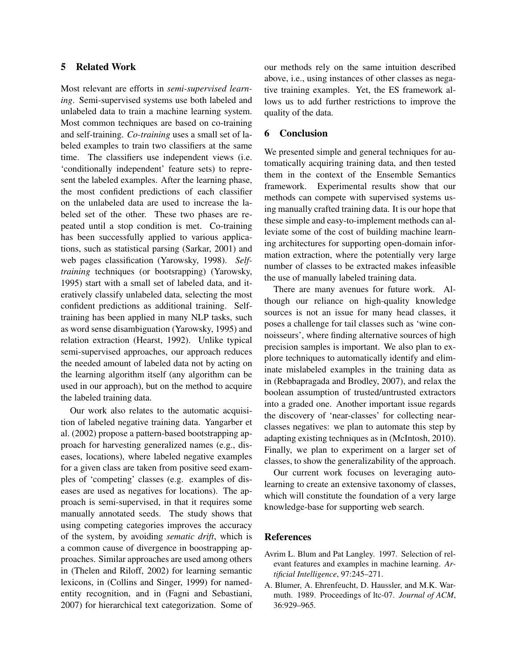## 5 Related Work

Most relevant are efforts in *semi-supervised learning*. Semi-supervised systems use both labeled and unlabeled data to train a machine learning system. Most common techniques are based on co-training and self-training. *Co-training* uses a small set of labeled examples to train two classifiers at the same time. The classifiers use independent views (i.e. 'conditionally independent' feature sets) to represent the labeled examples. After the learning phase, the most confident predictions of each classifier on the unlabeled data are used to increase the labeled set of the other. These two phases are repeated until a stop condition is met. Co-training has been successfully applied to various applications, such as statistical parsing (Sarkar, 2001) and web pages classification (Yarowsky, 1998). *Selftraining* techniques (or bootsrapping) (Yarowsky, 1995) start with a small set of labeled data, and iteratively classify unlabeled data, selecting the most confident predictions as additional training. Selftraining has been applied in many NLP tasks, such as word sense disambiguation (Yarowsky, 1995) and relation extraction (Hearst, 1992). Unlike typical semi-supervised approaches, our approach reduces the needed amount of labeled data not by acting on the learning algorithm itself (any algorithm can be used in our approach), but on the method to acquire the labeled training data.

Our work also relates to the automatic acquisition of labeled negative training data. Yangarber et al. (2002) propose a pattern-based bootstrapping approach for harvesting generalized names (e.g., diseases, locations), where labeled negative examples for a given class are taken from positive seed examples of 'competing' classes (e.g. examples of diseases are used as negatives for locations). The approach is semi-supervised, in that it requires some manually annotated seeds. The study shows that using competing categories improves the accuracy of the system, by avoiding *sematic drift*, which is a common cause of divergence in boostrapping approaches. Similar approaches are used among others in (Thelen and Riloff, 2002) for learning semantic lexicons, in (Collins and Singer, 1999) for namedentity recognition, and in (Fagni and Sebastiani, 2007) for hierarchical text categorization. Some of

our methods rely on the same intuition described above, i.e., using instances of other classes as negative training examples. Yet, the ES framework allows us to add further restrictions to improve the quality of the data.

## 6 Conclusion

We presented simple and general techniques for automatically acquiring training data, and then tested them in the context of the Ensemble Semantics framework. Experimental results show that our methods can compete with supervised systems using manually crafted training data. It is our hope that these simple and easy-to-implement methods can alleviate some of the cost of building machine learning architectures for supporting open-domain information extraction, where the potentially very large number of classes to be extracted makes infeasible the use of manually labeled training data.

There are many avenues for future work. Although our reliance on high-quality knowledge sources is not an issue for many head classes, it poses a challenge for tail classes such as 'wine connoisseurs', where finding alternative sources of high precision samples is important. We also plan to explore techniques to automatically identify and eliminate mislabeled examples in the training data as in (Rebbapragada and Brodley, 2007), and relax the boolean assumption of trusted/untrusted extractors into a graded one. Another important issue regards the discovery of 'near-classes' for collecting nearclasses negatives: we plan to automate this step by adapting existing techniques as in (McIntosh, 2010). Finally, we plan to experiment on a larger set of classes, to show the generalizability of the approach.

Our current work focuses on leveraging autolearning to create an extensive taxonomy of classes, which will constitute the foundation of a very large knowledge-base for supporting web search.

#### References

- Avrim L. Blum and Pat Langley. 1997. Selection of relevant features and examples in machine learning. *Artificial Intelligence*, 97:245–271.
- A. Blumer, A. Ehrenfeucht, D. Haussler, and M.K. Warmuth. 1989. Proceedings of ltc-07. *Journal of ACM*, 36:929–965.